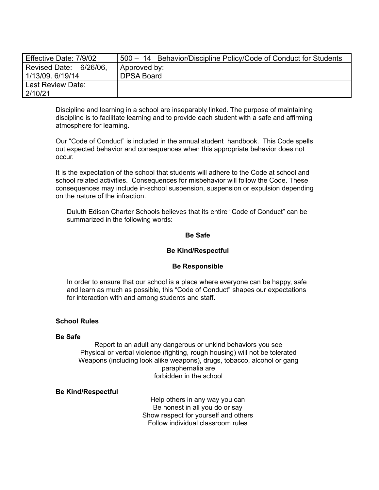| Effective Date: 7/9/02 | 500 - 14 Behavior/Discipline Policy/Code of Conduct for Students |
|------------------------|------------------------------------------------------------------|
| Revised Date: 6/26/06, | Approved by:                                                     |
| 1/13/09, 6/19/14       | <b>DPSA Board</b>                                                |
| Last Review Date:      |                                                                  |
| 2/10/21                |                                                                  |

Discipline and learning in a school are inseparably linked. The purpose of maintaining discipline is to facilitate learning and to provide each student with a safe and affirming atmosphere for learning.

Our "Code of Conduct" is included in the annual student handbook. This Code spells out expected behavior and consequences when this appropriate behavior does not occur.

It is the expectation of the school that students will adhere to the Code at school and school related activities. Consequences for misbehavior will follow the Code. These consequences may include in-school suspension, suspension or expulsion depending on the nature of the infraction.

Duluth Edison Charter Schools believes that its entire "Code of Conduct" can be summarized in the following words:

## **Be Safe**

#### **Be Kind/Respectful**

#### **Be Responsible**

In order to ensure that our school is a place where everyone can be happy, safe and learn as much as possible, this "Code of Conduct" shapes our expectations for interaction with and among students and staff.

#### **School Rules**

#### **Be Safe**

Report to an adult any dangerous or unkind behaviors you see Physical or verbal violence (fighting, rough housing) will not be tolerated Weapons (including look alike weapons), drugs, tobacco, alcohol or gang paraphernalia are forbidden in the school

#### **Be Kind/Respectful**

Help others in any way you can Be honest in all you do or say Show respect for yourself and others Follow individual classroom rules